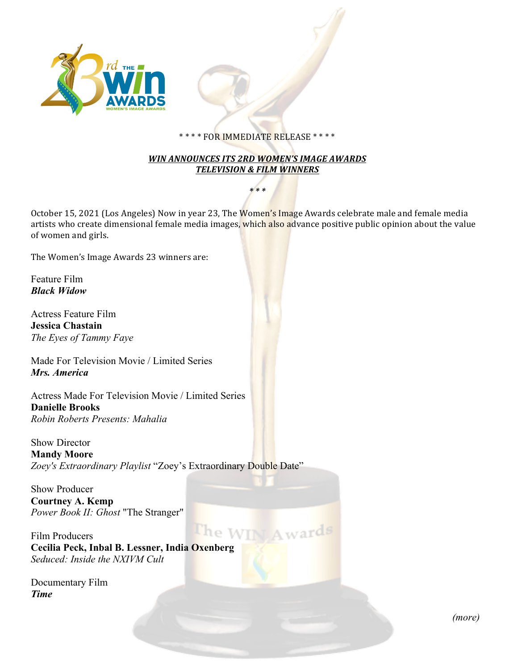

## \*\*\*\* FOR IMMEDIATE RELEASE \*\*\*\*

## **WIN ANNOUNCES ITS 2RD WOMEN'S IMAGE AWARDS TELEVISION & FILM WINNERS**

*\* \* \**

October 15, 2021 (Los Angeles) Now in year 23, The Women's Image Awards celebrate male and female media artists who create dimensional female media images, which also advance positive public opinion about the value of women and girls.

The Women's Image Awards 23 winners are:

Feature Film *Black Widow*

Actress Feature Film **Jessica Chastain** *The Eyes of Tammy Faye*

Made For Television Movie / Limited Series *Mrs. America*

Actress Made For Television Movie / Limited Series **Danielle Brooks** *Robin Roberts Presents: Mahalia*

Show Director **Mandy Moore** *Zoey's Extraordinary Playlist* "Zoey's Extraordinary Double Date"

Show Producer **Courtney A. Kemp** *Power Book II: Ghost* "The Stranger"

The WII Film Producers **Cecilia Peck, Inbal B. Lessner, India Oxenberg** *Seduced: Inside the NXIVM Cult* 

Documentary Film *Time*